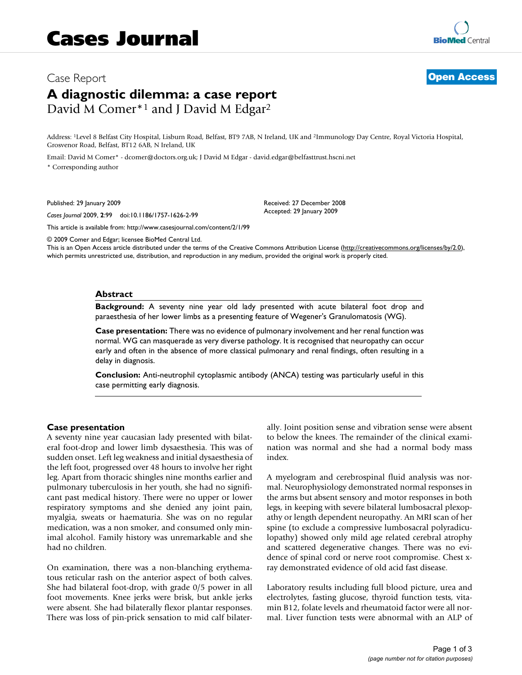# Case Report **[Open Access](http://www.biomedcentral.com/info/about/charter/) A diagnostic dilemma: a case report** David M Comer\*<sup>1</sup> and J David M Edgar<sup>2</sup>

Address: 1Level 8 Belfast City Hospital, Lisburn Road, Belfast, BT9 7AB, N Ireland, UK and 2Immunology Day Centre, Royal Victoria Hospital, Grosvenor Road, Belfast, BT12 6AB, N Ireland, UK

Email: David M Comer\* - dcomer@doctors.org.uk; J David M Edgar - david.edgar@belfasttrust.hscni.net

\* Corresponding author

Published: 29 January 2009

*Cases Journal* 2009, **2**:99 doi:10.1186/1757-1626-2-99

[This article is available from: http://www.casesjournal.com/content/2/1/99](http://www.casesjournal.com/content/2/1/99)

© 2009 Comer and Edgar; licensee BioMed Central Ltd.

This is an Open Access article distributed under the terms of the Creative Commons Attribution License [\(http://creativecommons.org/licenses/by/2.0\)](http://creativecommons.org/licenses/by/2.0), which permits unrestricted use, distribution, and reproduction in any medium, provided the original work is properly cited.

Received: 27 December 2008 Accepted: 29 January 2009

### **Abstract**

**Background:** A seventy nine year old lady presented with acute bilateral foot drop and paraesthesia of her lower limbs as a presenting feature of Wegener's Granulomatosis (WG).

**Case presentation:** There was no evidence of pulmonary involvement and her renal function was normal. WG can masquerade as very diverse pathology. It is recognised that neuropathy can occur early and often in the absence of more classical pulmonary and renal findings, often resulting in a delay in diagnosis.

**Conclusion:** Anti-neutrophil cytoplasmic antibody (ANCA) testing was particularly useful in this case permitting early diagnosis.

#### **Case presentation**

A seventy nine year caucasian lady presented with bilateral foot-drop and lower limb dysaesthesia. This was of sudden onset. Left leg weakness and initial dysaesthesia of the left foot, progressed over 48 hours to involve her right leg. Apart from thoracic shingles nine months earlier and pulmonary tuberculosis in her youth, she had no significant past medical history. There were no upper or lower respiratory symptoms and she denied any joint pain, myalgia, sweats or haematuria. She was on no regular medication, was a non smoker, and consumed only minimal alcohol. Family history was unremarkable and she had no children.

On examination, there was a non-blanching erythematous reticular rash on the anterior aspect of both calves. She had bilateral foot-drop, with grade 0/5 power in all foot movements. Knee jerks were brisk, but ankle jerks were absent. She had bilaterally flexor plantar responses. There was loss of pin-prick sensation to mid calf bilaterally. Joint position sense and vibration sense were absent to below the knees. The remainder of the clinical examination was normal and she had a normal body mass index.

A myelogram and cerebrospinal fluid analysis was normal. Neurophysiology demonstrated normal responses in the arms but absent sensory and motor responses in both legs, in keeping with severe bilateral lumbosacral plexopathy or length dependent neuropathy. An MRI scan of her spine (to exclude a compressive lumbosacral polyradiculopathy) showed only mild age related cerebral atrophy and scattered degenerative changes. There was no evidence of spinal cord or nerve root compromise. Chest xray demonstrated evidence of old acid fast disease.

Laboratory results including full blood picture, urea and electrolytes, fasting glucose, thyroid function tests, vitamin B12, folate levels and rheumatoid factor were all normal. Liver function tests were abnormal with an ALP of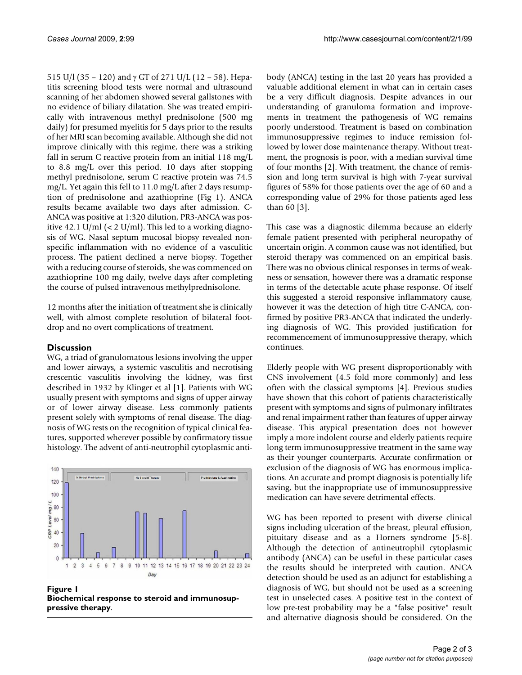515 U/l (35 – 120) and γ GT of 271 U/L (12 – 58). Hepatitis screening blood tests were normal and ultrasound scanning of her abdomen showed several gallstones with no evidence of biliary dilatation. She was treated empirically with intravenous methyl prednisolone (500 mg daily) for presumed myelitis for 5 days prior to the results of her MRI scan becoming available. Although she did not improve clinically with this regime, there was a striking fall in serum C reactive protein from an initial 118 mg/L to 8.8 mg/L over this period. 10 days after stopping methyl prednisolone, serum C reactive protein was 74.5 mg/L. Yet again this fell to 11.0 mg/L after 2 days resumption of prednisolone and azathioprine (Fig 1). ANCA results became available two days after admission. C-ANCA was positive at 1:320 dilution, PR3-ANCA was positive 42.1 U/ml (< 2 U/ml). This led to a working diagnosis of WG. Nasal septum mucosal biopsy revealed nonspecific inflammation with no evidence of a vasculitic process. The patient declined a nerve biopsy. Together with a reducing course of steroids, she was commenced on azathioprine 100 mg daily, twelve days after completing the course of pulsed intravenous methylprednisolone.

12 months after the initiation of treatment she is clinically well, with almost complete resolution of bilateral footdrop and no overt complications of treatment.

# **Discussion**

WG, a triad of granulomatous lesions involving the upper and lower airways, a systemic vasculitis and necrotising crescentic vasculitis involving the kidney, was first described in 1932 by Klinger et al [1]. Patients with WG usually present with symptoms and signs of upper airway or of lower airway disease. Less commonly patients present solely with symptoms of renal disease. The diagnosis of WG rests on the recognition of typical clinical features, supported wherever possible by confirmatory tissue histology. The advent of anti-neutrophil cytoplasmic anti-



**Figure 1 Biochemical response to steroid and immunosuppressive therapy**.

body (ANCA) testing in the last 20 years has provided a valuable additional element in what can in certain cases be a very difficult diagnosis. Despite advances in our understanding of granuloma formation and improvements in treatment the pathogenesis of WG remains poorly understood. Treatment is based on combination immunosuppressive regimes to induce remission followed by lower dose maintenance therapy. Without treatment, the prognosis is poor, with a median survival time of four months [2]. With treatment, the chance of remission and long term survival is high with 7-year survival figures of 58% for those patients over the age of 60 and a corresponding value of 29% for those patients aged less than 60 [3].

This case was a diagnostic dilemma because an elderly female patient presented with peripheral neuropathy of uncertain origin. A common cause was not identified, but steroid therapy was commenced on an empirical basis. There was no obvious clinical responses in terms of weakness or sensation, however there was a dramatic response in terms of the detectable acute phase response. Of itself this suggested a steroid responsive inflammatory cause, however it was the detection of high titre C-ANCA, confirmed by positive PR3-ANCA that indicated the underlying diagnosis of WG. This provided justification for recommencement of immunosuppressive therapy, which continues.

Elderly people with WG present disproportionably with CNS involvement (4.5 fold more commonly) and less often with the classical symptoms [4]. Previous studies have shown that this cohort of patients characteristically present with symptoms and signs of pulmonary infiltrates and renal impairment rather than features of upper airway disease. This atypical presentation does not however imply a more indolent course and elderly patients require long term immunosuppressive treatment in the same way as their younger counterparts. Accurate confirmation or exclusion of the diagnosis of WG has enormous implications. An accurate and prompt diagnosis is potentially life saving, but the inappropriate use of immunosuppressive medication can have severe detrimental effects.

WG has been reported to present with diverse clinical signs including ulceration of the breast, pleural effusion, pituitary disease and as a Horners syndrome [5-8]. Although the detection of antineutrophil cytoplasmic antibody (ANCA) can be useful in these particular cases the results should be interpreted with caution. ANCA detection should be used as an adjunct for establishing a diagnosis of WG, but should not be used as a screening test in unselected cases. A positive test in the context of low pre-test probability may be a "false positive" result and alternative diagnosis should be considered. On the